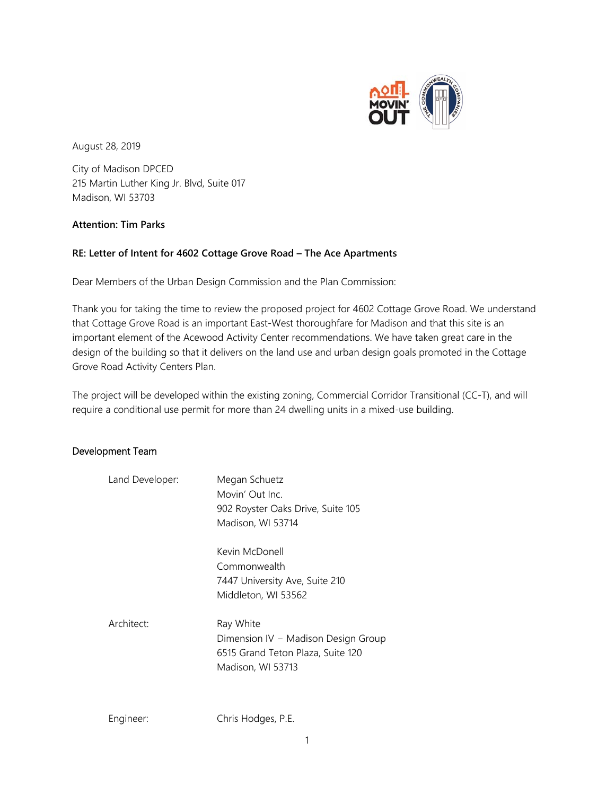

August 28, 2019

City of Madison DPCED 215 Martin Luther King Jr. Blvd, Suite 017 Madison, WI 53703

## **Attention: Tim Parks**

## **RE: Letter of Intent for 4602 Cottage Grove Road – The Ace Apartments**

Dear Members of the Urban Design Commission and the Plan Commission:

Thank you for taking the time to review the proposed project for 4602 Cottage Grove Road. We understand that Cottage Grove Road is an important East-West thoroughfare for Madison and that this site is an important element of the Acewood Activity Center recommendations. We have taken great care in the design of the building so that it delivers on the land use and urban design goals promoted in the Cottage Grove Road Activity Centers Plan.

The project will be developed within the existing zoning, Commercial Corridor Transitional (CC-T), and will require a conditional use permit for more than 24 dwelling units in a mixed-use building.

## Development Team

| Land Developer: | Megan Schuetz<br>Movin' Out Inc.<br>902 Royster Oaks Drive, Suite 105<br>Madison, WI 53714                 |
|-----------------|------------------------------------------------------------------------------------------------------------|
|                 | Kevin McDonell<br>Commonwealth<br>7447 University Ave, Suite 210<br>Middleton, WI 53562                    |
| Architect:      | Ray White<br>Dimension IV - Madison Design Group<br>6515 Grand Teton Plaza, Suite 120<br>Madison, WI 53713 |

Engineer: Chris Hodges, P.E.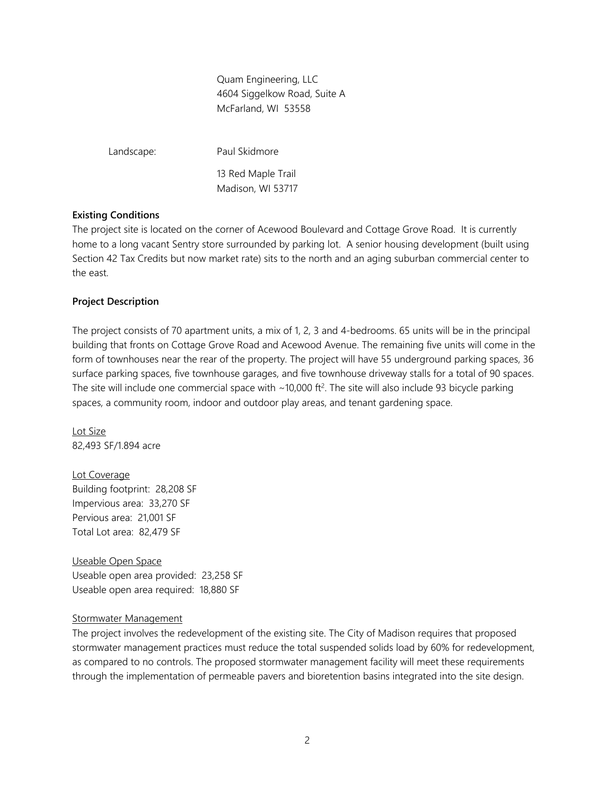Quam Engineering, LLC 4604 Siggelkow Road, Suite A McFarland, WI 53558

Landscape: Paul Skidmore 13 Red Maple Trail Madison, WI 53717

#### **Existing Conditions**

The project site is located on the corner of Acewood Boulevard and Cottage Grove Road. It is currently home to a long vacant Sentry store surrounded by parking lot. A senior housing development (built using Section 42 Tax Credits but now market rate) sits to the north and an aging suburban commercial center to the east.

#### **Project Description**

The project consists of 70 apartment units, a mix of 1, 2, 3 and 4-bedrooms. 65 units will be in the principal building that fronts on Cottage Grove Road and Acewood Avenue. The remaining five units will come in the form of townhouses near the rear of the property. The project will have 55 underground parking spaces, 36 surface parking spaces, five townhouse garages, and five townhouse driveway stalls for a total of 90 spaces. The site will include one commercial space with  $\sim$ 10,000 ft<sup>2</sup>. The site will also include 93 bicycle parking spaces, a community room, indoor and outdoor play areas, and tenant gardening space.

Lot Size 82,493 SF/1.894 acre

Lot Coverage Building footprint: 28,208 SF Impervious area: 33,270 SF Pervious area: 21,001 SF Total Lot area: 82,479 SF

Useable Open Space Useable open area provided: 23,258 SF Useable open area required: 18,880 SF

#### Stormwater Management

The project involves the redevelopment of the existing site. The City of Madison requires that proposed stormwater management practices must reduce the total suspended solids load by 60% for redevelopment, as compared to no controls. The proposed stormwater management facility will meet these requirements through the implementation of permeable pavers and bioretention basins integrated into the site design.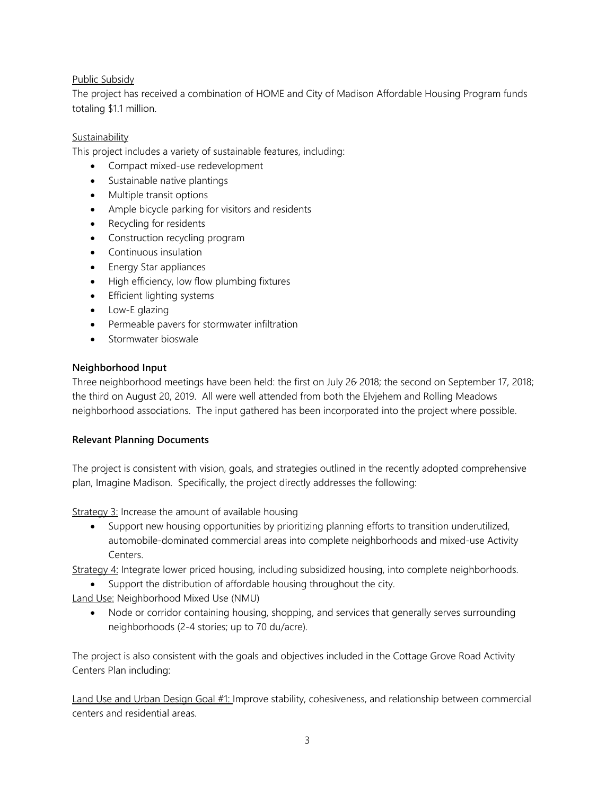# Public Subsidy

The project has received a combination of HOME and City of Madison Affordable Housing Program funds totaling \$1.1 million.

# Sustainability

This project includes a variety of sustainable features, including:

- Compact mixed-use redevelopment
- Sustainable native plantings
- Multiple transit options
- Ample bicycle parking for visitors and residents
- Recycling for residents
- Construction recycling program
- Continuous insulation
- Energy Star appliances
- High efficiency, low flow plumbing fixtures
- **•** Efficient lighting systems
- Low-E glazing
- Permeable pavers for stormwater infiltration
- Stormwater bioswale

## **Neighborhood Input**

Three neighborhood meetings have been held: the first on July 26, 2018; the second on September 17, 2018; the third on August 20, 2019. All were well attended from both the Elvjehem and Rolling Meadows neighborhood associations. The input gathered has been incorporated into the project where possible.

## **Relevant Planning Documents**

The project is consistent with vision, goals, and strategies outlined in the recently adopted comprehensive plan, Imagine Madison. Specifically, the project directly addresses the following:

Strategy 3: Increase the amount of available housing

 Support new housing opportunities by prioritizing planning efforts to transition underutilized, automobile-dominated commercial areas into complete neighborhoods and mixed-use Activity Centers.

Strategy 4: Integrate lower priced housing, including subsidized housing, into complete neighborhoods.

Support the distribution of affordable housing throughout the city.

Land Use: Neighborhood Mixed Use (NMU)

 Node or corridor containing housing, shopping, and services that generally serves surrounding neighborhoods (2-4 stories; up to 70 du/acre).

The project is also consistent with the goals and objectives included in the Cottage Grove Road Activity Centers Plan including:

Land Use and Urban Design Goal #1: Improve stability, cohesiveness, and relationship between commercial centers and residential areas.